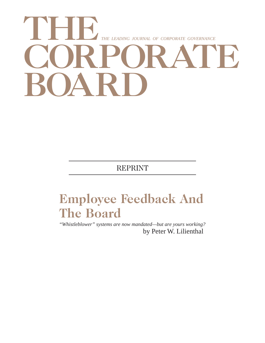# **THE CORPORATE BOARD** *THE LEADING JOURNAL OF CORPORATE GOVERNANCE*

REPRINT

## **Employee Feedback And The Board**

*"Whistleblower" systems are now mandated—but are yours working?* by Peter W. Lilienthal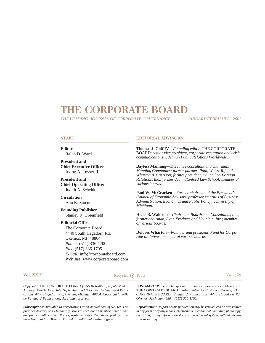## **THE CORPORATE BOARD**

*THE LEADING JOURNAL OF CORPORATE GOVERNANCE*

*JANUARY/FEBRUARY 2003*

## **STAFF**

**Editor** Ralph D. Ward

**President and Chief Executive Officer** Irving A. Lesher III

**President and Chief Operating Officer** Judith A. Scheidt

**Circulation** Ann K. Stocum

**Founding Publisher** Stanley R. Greenfield

### **Editorial Office**

The Corporate Board 4440 South Hagadorn Rd. Okemos, MI 48864 *Phone:* (517) 336-1700 *Fax:* (517) 336-1705 *E-mail:* info@corporateboard.com *Web site:* www.corporateboard.com

### **EDITORIAL ADVISORS**

**Thomas J. Goff IV—***Founding editor,* THE CORPORATE BOARD; *senior vice president, corporate reputation and crisis communications, Edelman Public Relations Worldwide.*

**Bayless Manning—***Executive consultant and chairman, Manning Companies; former partner, Paul, Weiss, Rifkind, Wharton & Garrison; former president, Council on Foreign Relations, Inc.; former dean, Stanford Law School; member of various boards.*

**Paul W. McCracken—***Former chairman of the President's Council of Economic Advisors, professor emeritus of Business Administration, Economics and Public Policy, University of Michigan.*

**Hicks B. Waldron—***Chairman, Boardroom Consultants, Inc.; former chairman, Avon Products and Heublein, Inc.; member of various boards.*

**Dolores Wharton—***Founder and president, Fund for Corporate Initiatives; member of various boards.*

**Vol. XXIV No. 138 Recycled**  $\bigcirc$  **Paper No. 138** 

*Copyright:* THE CORPORATE BOARD *(ISSN 0746-8652) is published in January, March, May, July, September, and November by Vanguard Publications, 4440 Hagadorn Rd., Okemos, Michigan 48864. Copyright © 2002 by Vanguard Publications. All rights reserved.*

*Subscriptions: Available to corporations at an annual cost of \$2,800. This provides delivery of six bimonthly issues to each board member, senior legal and financial officers, and the corporate secretary. Periodicals postage rates have been paid at Okemos, MI and at additional mailing offices.*

*POSTMASTER: Send changes and all subscription correspondence with* THE CORPORATE BOARD *mailing label to Customer Service,* THE CORPORATE BOARD*, Vanguard Publications, 4440 Hagadorn Rd., Okemos, Michigan 48864, (517) 336-1700.*

*Reproduction: No part of this publication may be reproduced or transmitted in any form or by any means, electronic or mechanical, including photocopy, recording, or any information storage and retrieval system, without permission in writing.*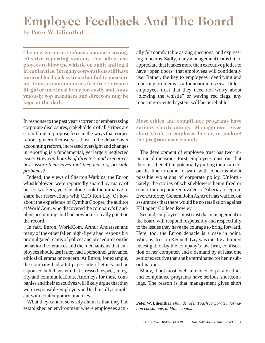# **Employee Feedback And The Board**

**by Peter W. Lilienthal**

**The new corporate reforms mandate strong, effective reporting systems that allow employees to blow the whistle on audit and legal irregularities. Yet many corporations still have internal feedback system that fail to measure up. Unless your employees feel free to report illegal or unethical behavior, easily and anonymously, top managers and directors may be kept in the dark.**

In response to the past year's torrent of embarrassing corporate disclosures, stakeholders of all stripes are scrambling to propose fixes in the ways that corporations govern themselves. Lost in the debate over accounting reform, increased oversight and changes in reporting is a fundamental, yet largely neglected issue: *How can boards of directors and executives best assure themselves that they learn of possible problems?*

Indeed, the views of Sherron Watkins, the Enron whistleblower, were reportedly shared by many of her co-workers, yet she alone took the initiative to share her reservations with CEO Ken Lay. Or how about the experience of Cynthia Cooper, the auditor at WorldCom, who discovered the company's fraudulent accounting, but had nowhere to really put it on the record.

In fact, Enron, WorldCom, Arthur Andersen and many of the other fallen high-flyers had responsibly promulgated reams of polices and procedures on the behavioral tolerances and the mechanisms that employees should use if they had a personnel grievance, ethical dilemma or concern. At Enron, for example, the company had a 64-page code of ethics and an espoused belief system that stressed respect, integrity and communications. Attorneys for these companies and their executives will likely argue that they were responsible employers and technically compliant with contemporary practices.

What they cannot so easily claim is that they had established an environment where employees actually felt comfortable asking questions, and expressing concerns. Sadly, many management teams fail to appreciate that it takes more than executive pieties to have "open doors" that employees will confidently use. Rather, the key to employees identifying and reporting problems is a foundation of *trust.* Unless employees trust that they need not worry about "blowing the whistle" or waving red flags, any reporting-oriented system will be unreliable.

**Most ethics and compliance programs have serious shortcomings. Management gives short shrift to employee buy-in, or making the program user friendly.**

The development of employee trust has two important dimensions. First, employees must trust that there is a benefit in potentially putting their careers on the line to come forward with concerns about possible violations of corporate policy. Unfortunately, the stories of whistleblowers being fired or sent to the corporate equivalent of Siberia are legion. Even Attorney General John Ashcroft has waffled on assurances that there would be no retaliation against FBI agent Colleen Rowley.

Second, employees must trust that management or the board will respond responsibly and respectfully to the issues they have the courage to bring forward. Here, too, the Enron debacle is a case in point. Watkins' trust in Kenneth Lay was met by a limited investigation by the company's law firm, confiscation of her computer, and a demand by at least one senior executive that she be terminated for her insubordination.

Many, if not most, well-intended corporate ethics and compliance programs have serious shortcomings. The reason is that management gives short

**Peter W. Lilienthal** *is founder of In Touch corporate information consultants in Minneapolis.*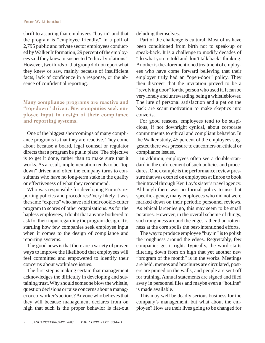## **Peter W. Lilienthal**

shrift to assuring that employees "buy in" and that the program is "employee friendly." In a poll of 2,795 public and private sector employees conducted by Walker Information, 29 percent of the employees said they knew or suspected "ethical violations." However, two thirds of that group did not report what they knew or saw, mainly because of insufficient facts, lack of confidence in a response, or the absence of confidential reporting.

## **Many compliance programs are reactive and "top-down" driven. Few companies seek employee input in design of their compliance and reporting systems.**

One of the biggest shortcomings of many compliance programs is that they are reactive. They come about because a board, legal counsel or regulator directs that a program be put in place. The objective is to get it done, rather than to make sure that it works. As a result, implementation tends to be "top down" driven and often the company turns to consultants who have no long-term stake in the quality or effectiveness of what they recommend.

Who was responsible for developing Enron's reporting policies and procedures? Very likely it was the same "experts" who have sold their cookie-cutter program to scores of other organizations. As for the hapless employees, I doubt that anyone bothered to ask for their input regarding the program design. It is startling how few companies seek employee input when it comes to the design of compliance and reporting systems.

The good news is that there are a variety of proven ways to improve the likelihood that employees will feel committed and empowered to identify their concerns about workplace issues.

The first step is making certain that management acknowledges the difficulty in developing and sustaining trust. Why should someone blow the whistle, question decisions or raise concerns about a manager or co-worker's actions? Anyone who believes that they will because management declares from on high that such is the proper behavior is flat-out deluding themselves.

Part of the challenge is cultural. Most of us have been conditioned from birth not to speak-up or speak-back. It is a challenge to modify decades of "do what you're told and don't talk back" thinking. Another is the aforementioned treatment of employees who have come forward believing that their employer truly had an "open-door" policy. They then discover that the invitation proved to be a "revolving door" for the person who used it. It can be very lonely and unrewarding being a whistleblower. The lure of personal satisfaction and a pat on the back are scant motivation to make skeptics into converts.

For good reasons, employees tend to be suspicious, if not downright cynical, about corporate commitments to ethical and compliant behavior. In the Walker study, 45 percent of the employees suggested there was pressure to cut corners on ethical or compliance issues.

In addition, employees often see a double-standard in the enforcement of such policies and procedures. One example is the performance review pressure that was exerted on employees at Enron to book their travel through Ken Lay's sister's travel agency. Although there was no formal policy to use that specific agency, many employees who did not were marked down on their periodic personnel reviews. As ethical larcenies go, this may seem to be small potatoes. However, in the overall scheme of things, such roughness around the edges rather than rottenness at the core spoils the best-intentioned efforts.

The way to produce employee "buy in" is to polish the roughness around the edges. Regrettably, few companies get it right. Typically, the word starts filtering down from on high that yet another new "program of the month" is in the works. Meetings are held, memos and brochures are circulated, posters are pinned on the walls, and people are sent off for training. Annual statements are signed and filed away in personnel files and maybe even a "hotline" is made available.

This may well be deadly serious business for the company's management, but what about the employee? How are their lives going to be changed for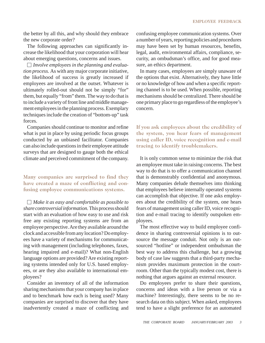the better by all this, and why should they embrace the new corporate order?

The following approaches can significantly increase the likelihood that your corporation will hear about emerging questions, concerns and issues.

*Involve employees in the planning and evaluation process.* As with any major corporate initiative, the likelihood of success is greatly increased if employees are involved at the outset. Whatever is ultimately rolled-out should not be simply "for" them, but equally "from" them. The way to do that is to include a variety of front line and middle management employees in the planning process. Exemplary techniques include the creation of "bottom-up" task forces.

Companies should continue to monitor and refine what is put in place by using periodic focus groups conducted by an unbiased facilitator. Companies can also include questions in their employee attitude surveys that are designed to gauge both the ethical climate and perceived commitment of the company.

## **Many companies are surprised to find they have created a maze of conflicting and confusing employee communications systems.**

*Make it as easy and comfortable as possible to share controversial information.* This process should start with an evaluation of how easy to use and risk free any existing reporting systems are from an employee perspective. Are they available around the clock and accessible from any location? Do employees have a variety of mechanisms for communicating with management (including telephones, faxes, hearing impaired and e-mail)? What non-English language options are provided? Are existing reporting systems intended only for U.S. based employees, or are they also available to international employees?

Consider an inventory of all of the information sharing mechanisms that your company has in place and to benchmark how each is being used? Many companies are surprised to discover that they have inadvertently created a maze of conflicting and confusing employee communication systems. Over a number of years, reporting policies and procedures may have been set by human resources, benefits, legal, audit, environmental affairs, compliance, security, an ombudsman's office, and for good measure, an ethics department.

In many cases, employees are simply unaware of the options that exist. Alternatively, they have little or no knowledge of how and when a specific reporting channel is to be used. When possible, reporting mechanisms should be centralized. There should be one primary place to go regardless of the employee's concern.

**If you ask employees about the credibility of the system, you hear fears of management using caller ID, voice recognition and e-mail tracing to identify troublemakers.**

It is only common sense to minimize the risk that an employee must take in raising concerns. The best way to do that is to offer a communication channel that is demonstrably confidential and anonymous. Many companies delude themselves into thinking that employees believe internally operated systems can accomplish that objective. If one asks employees about the credibility of the system, one hears fears of management using caller ID, voice recognition and e-mail tracing to identify outspoken employees.

The most effective way to build employee confidence in sharing controversial opinions is to outsource the message conduit. Not only is an outsourced "hotline" or independent ombudsman the best way to address this challenge, but a growing body of case law suggests that a third-party mechanism provides maximum protection in the courtroom. Other than the typically modest cost, there is nothing that argues against an external resource.

Do employees prefer to share their questions, concerns and ideas with a live person or via a machine? Interestingly, there seems to be no research data on this subject. When asked, employees tend to have a slight preference for an automated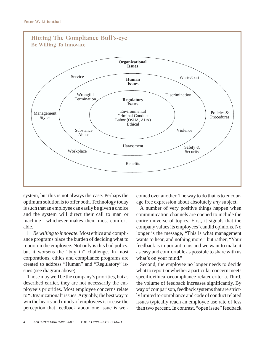

system, but this is not always the case. Perhaps the optimum solution is to offer both. Technology today is such that an employee can easily be given a choice and the system will direct their call to man or machine—whichever makes them most comfortable.

*Be willing to innovate.* Most ethics and compliance programs place the burden of deciding what to report on the employee. Not only is this bad policy, but it worsens the "buy in" challenge. In most corporations, ethics and compliance programs are created to address "Human" and "Regulatory" issues (see diagram above).

Those may well be the company's priorities, but as described earlier, they are not necessarily the employee's priorities. Most employee concerns relate to "Organizational" issues. Arguably, the best way to win the hearts and minds of employees is to ease the perception that feedback about one issue is welcomed over another. The way to do that is to encourage free expression about absolutely *any* subject.

A number of very positive things happen when communication channels are opened to include the entire universe of topics. First, it signals that the company values its employees' candid opinions. No longer is the message, "This is what management wants to hear, and nothing more," but rather, "Your feedback is important to us and we want to make it as easy and comfortable as possible to share with us what's on your mind."

Second, the employee no longer needs to decide what to report or whether a particular concern meets specific ethical or compliance-related criteria. Third, the volume of feedback increases significantly. By way of comparison, feedback systems that are strictly limited to compliance and code of conduct related issues typically reach an employee use rate of less than two percent. In contrast, "open issue" feedback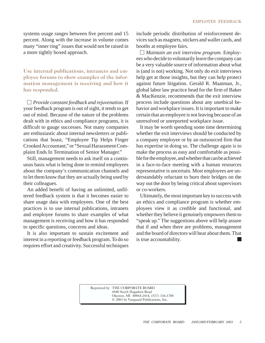systems usage ranges between five percent and 15 percent. Along with the increase in volume comes many "inner ring" issues that would not be raised in a more tightly boxed approach.

**Use internal publications, intranets and employee forums to show examples of the information management is receiving and how it has responded.**

*Provide constant feedback and rejuvenation.* If your feedback program is out of sight, it tends to get out of mind. Because of the nature of the problems dealt with in ethics and compliance programs, it is difficult to gauge successes. Not many companies are enthusiastic about internal newsletters or publications that boast, "Employee Tip Helps Finger Crooked Accountant," or "Sexual Harassment Complaint Ends In Termination of Senior Manager."

Still, management needs to ask itself on a continuous basis what is being done to remind employees about the company's communication channels and to let them know that they are actually being used by their colleagues.

An added benefit of having an unlimited, unfiltered feedback system is that it becomes easier to share usage data with employees. One of the best practices is to use internal publications, intranets and employee forums to share examples of what management is receiving and how it has responded to specific questions, concerns and ideas.

It is also important to sustain excitement and interest in a reporting or feedback program. To do so requires effort and creativity. Successful techniques include periodic distribution of reinforcement devices such as magnets, stickers and wallet cards, and booths at employee fairs.

*Maintain an exit interview program.* Employees who decide to voluntarily leave the company can be a very valuable source of information about what is (and is not) working. Not only do exit interviews help get at those insights, but they can help protect against future litigation. Gerald R. Maatman, Jr., global labor law practice head for the firm of Baker & MacKenzie, recommends that the exit interview process include questions about any unethical behavior and workplace issues. It is important to make certain that an employee is not leaving because of an unresolved or unreported workplace issue.

It may be worth spending some time determining whether the exit interviews should be conducted by a company employee or by an outsourced firm that has expertise in doing so. The challenge again is to make the process as easy and comfortable as possible for the employee, and whether that can be achieved in a face-to-face meeting with a human resources representative is uncertain. Most employees are understandably reluctant to burn their bridges on the way out the door by being critical about supervisors or co-workers.

Ultimately, the most important key to success with an ethics and compliance program is whether employees view it as credible and functional, and whether they believe it genuinely empowers them to "speak up." The suggestions above will help assure that if and when there are problems, management and the board of directors will hear about them. That is true accountability.

Reprinted by THE CORPORATE BOARD 4440 South Hagadorn Road Okemos, MI 48864-2414, (517) 336-1700 © 2003 by Vanguard Publications, Inc.